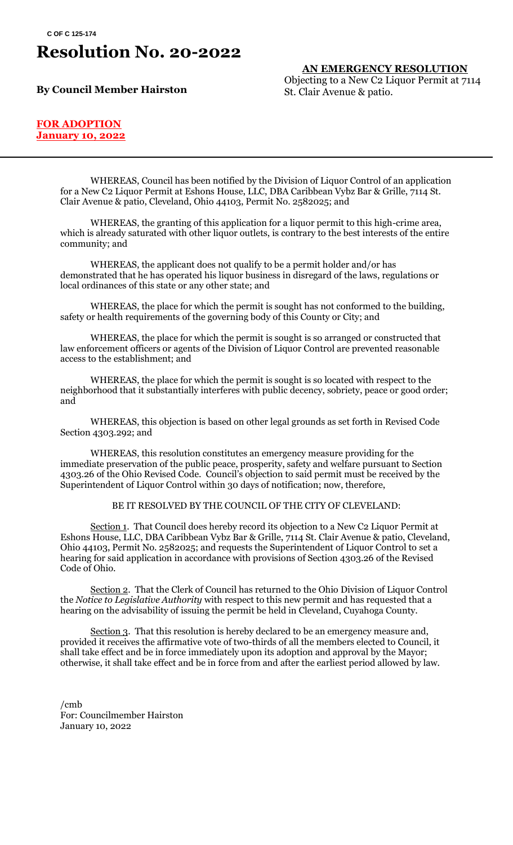## **Resolution No. 20-2022**

**By Council Member Hairston**

**AN EMERGENCY RESOLUTION** Objecting to a New C2 Liquor Permit at 7114 St. Clair Avenue & patio.

#### **FOR ADOPTION January 10, 2022**

WHEREAS, Council has been notified by the Division of Liquor Control of an application for a New C2 Liquor Permit at Eshons House, LLC, DBA Caribbean Vybz Bar & Grille, 7114 St. Clair Avenue & patio, Cleveland, Ohio 44103, Permit No. 2582025; and

WHEREAS, the granting of this application for a liquor permit to this high-crime area, which is already saturated with other liquor outlets, is contrary to the best interests of the entire community; and

WHEREAS, the applicant does not qualify to be a permit holder and/or has demonstrated that he has operated his liquor business in disregard of the laws, regulations or local ordinances of this state or any other state; and

WHEREAS, the place for which the permit is sought has not conformed to the building, safety or health requirements of the governing body of this County or City; and

WHEREAS, the place for which the permit is sought is so arranged or constructed that law enforcement officers or agents of the Division of Liquor Control are prevented reasonable access to the establishment; and

WHEREAS, the place for which the permit is sought is so located with respect to the neighborhood that it substantially interferes with public decency, sobriety, peace or good order; and

WHEREAS, this objection is based on other legal grounds as set forth in Revised Code Section 4303.292; and

WHEREAS, this resolution constitutes an emergency measure providing for the immediate preservation of the public peace, prosperity, safety and welfare pursuant to Section 4303.26 of the Ohio Revised Code. Council's objection to said permit must be received by the Superintendent of Liquor Control within 30 days of notification; now, therefore,

BE IT RESOLVED BY THE COUNCIL OF THE CITY OF CLEVELAND:

Section 1. That Council does hereby record its objection to a New C2 Liquor Permit at Eshons House, LLC, DBA Caribbean Vybz Bar & Grille, 7114 St. Clair Avenue & patio, Cleveland, Ohio 44103, Permit No. 2582025; and requests the Superintendent of Liquor Control to set a hearing for said application in accordance with provisions of Section 4303.26 of the Revised Code of Ohio.

Section 2. That the Clerk of Council has returned to the Ohio Division of Liquor Control the *Notice to Legislative Authority* with respect to this new permit and has requested that a hearing on the advisability of issuing the permit be held in Cleveland, Cuyahoga County.

Section 3. That this resolution is hereby declared to be an emergency measure and, provided it receives the affirmative vote of two-thirds of all the members elected to Council, it shall take effect and be in force immediately upon its adoption and approval by the Mayor; otherwise, it shall take effect and be in force from and after the earliest period allowed by law.

/cmb For: Councilmember Hairston January 10, 2022